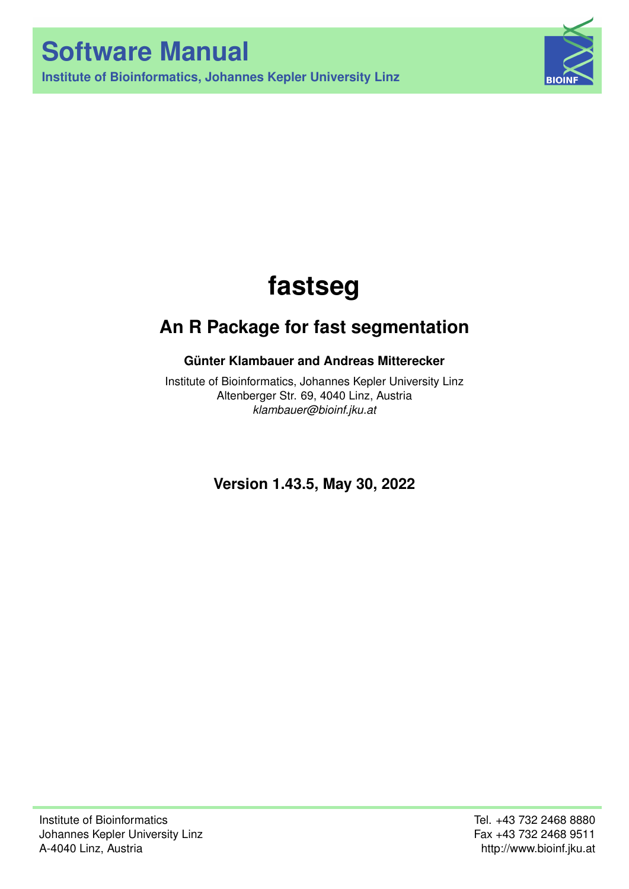**Institute of Bioinformatics, Johannes Kepler University Linz**



# **fastseg**

## **An R Package for fast segmentation**

## **Günter Klambauer and Andreas Mitterecker**

Institute of Bioinformatics, Johannes Kepler University Linz Altenberger Str. 69, 4040 Linz, Austria *[klambauer@bioinf.jku.at](mailto:klambauer@bioinf.jku.at)*

**Version 1.43.5, May 30, 2022**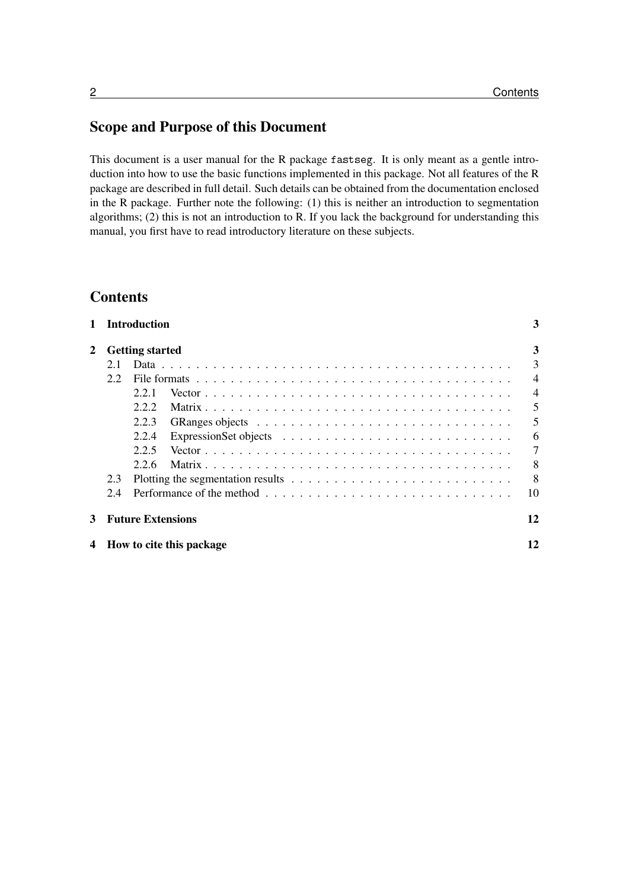## Scope and Purpose of this Document

This document is a user manual for the R package fastseg. It is only meant as a gentle introduction into how to use the basic functions implemented in this package. Not all features of the R package are described in full detail. Such details can be obtained from the documentation enclosed in the R package. Further note the following: (1) this is neither an introduction to segmentation algorithms; (2) this is not an introduction to R. If you lack the background for understanding this manual, you first have to read introductory literature on these subjects.

## **Contents**

| $\mathbf{1}$ |     | <b>Introduction</b>      | 3              |
|--------------|-----|--------------------------|----------------|
| $\mathbf{2}$ |     | <b>Getting started</b>   | 3              |
|              | 2.1 |                          | 3              |
|              | 2.2 |                          | $\overline{4}$ |
|              |     | 2.2.1                    | $\overline{4}$ |
|              |     | 2.2.2                    | $\mathfrak{S}$ |
|              |     | 2.2.3                    | 5              |
|              |     | 2.2.4                    | 6              |
|              |     | 2.2.5                    | $\overline{7}$ |
|              |     | 2.2.6                    | 8              |
|              | 2.3 |                          | 8              |
|              | 2.4 |                          | 10             |
| 3            |     | <b>Future Extensions</b> | 12             |
| 4            |     | How to cite this package | 12             |
|              |     |                          |                |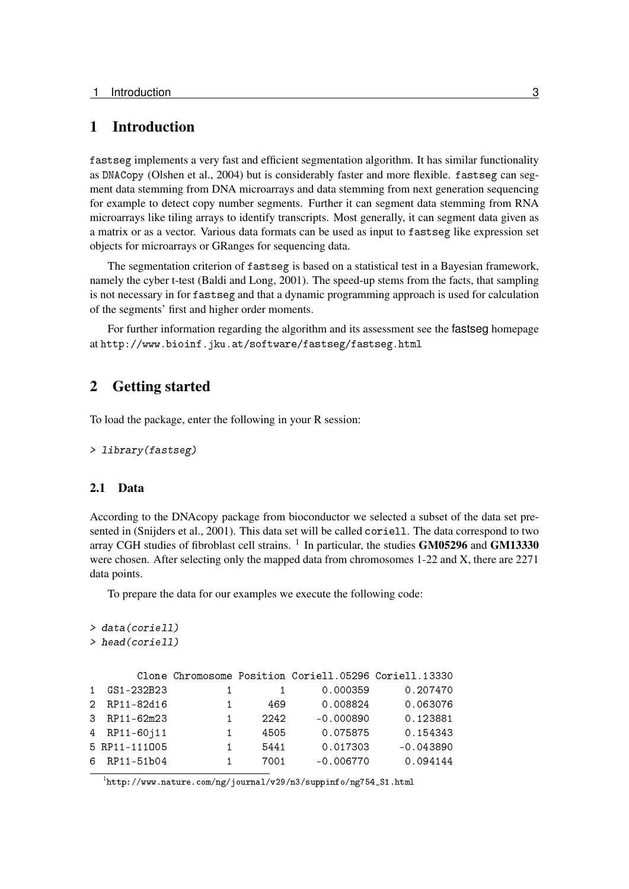#### <span id="page-2-0"></span>1 Introduction

fastseg implements a very fast and efficient segmentation algorithm. It has similar functionality as DNACopy [\(Olshen et al., 2004\)](#page-11-2) but is considerably faster and more flexible. fastseg can segment data stemming from DNA microarrays and data stemming from next generation sequencing for example to detect copy number segments. Further it can segment data stemming from RNA microarrays like tiling arrays to identify transcripts. Most generally, it can segment data given as a matrix or as a vector. Various data formats can be used as input to fastseg like expression set objects for microarrays or GRanges for sequencing data.

The segmentation criterion of fastseg is based on a statistical test in a Bayesian framework, namely the cyber t-test [\(Baldi and Long, 2001\)](#page-11-3). The speed-up stems from the facts, that sampling is not necessary in for fastseg and that a dynamic programming approach is used for calculation of the segments' first and higher order moments.

For further information regarding the algorithm and its assessment see the fastseg homepage at <http://www.bioinf.jku.at/software/fastseg/fastseg.html>

## <span id="page-2-1"></span>2 Getting started

To load the package, enter the following in your R session:

```
> library(fastseg)
```
#### <span id="page-2-2"></span>2.1 Data

According to the DNAcopy package from bioconductor we selected a subset of the data set presented in [\(Snijders et al., 2001\)](#page-11-4). This data set will be called coriell. The data correspond to two array CGH studies of fibroblast cell strains.  $^1$  $^1$  In particular, the studies GM05296 and GM13330 were chosen. After selecting only the mapped data from chromosomes 1-22 and X, there are 2271 data points.

To prepare the data for our examples we execute the following code:

```
> data(coriell)
> head(coriell)
     Clone Chromosome Position Coriell.05296 Coriell.13330
1 GS1-232B23 1 1 0.000359 0.207470
2 RP11-82d16 1 469 0.008824 0.063076
3 RP11-62m23 1 2242 -0.000890 0.123881
4 RP11-60j11 1 4505 0.075875 0.154343
5 RP11-111O05 1 5441 0.017303 -0.043890
6 RP11-51b04 1 7001 -0.006770 0.094144
```
<span id="page-2-3"></span> $1$ [http://www.nature.com/ng/journal/v29/n3/suppinfo/ng754\\_S1.html](http://www.nature.com/ng/journal/v29/n3/suppinfo/ng754_S1.html)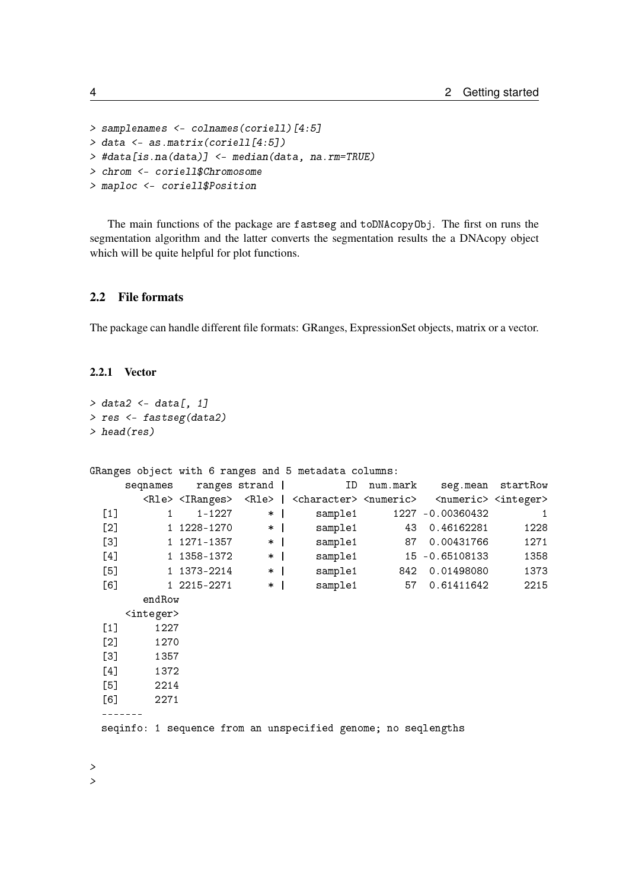```
> samplenames <- colnames(coriell)[4:5]
> data <- as.matrix(coriell[4:5])
> #data[is.na(data)] <- median(data, na.rm=TRUE)
> chrom <- coriell$Chromosome
> maploc <- coriell$Position
```
The main functions of the package are fastseg and toDNAcopyObj. The first on runs the segmentation algorithm and the latter converts the segmentation results the a DNAcopy object which will be quite helpful for plot functions.

#### <span id="page-3-0"></span>2.2 File formats

The package can handle different file formats: GRanges, ExpressionSet objects, matrix or a vector.

#### <span id="page-3-1"></span>2.2.1 Vector

```
> data2 <- data[, 1]
> res <- fastseg(data2)
> head(res)
GRanges object with 6 ranges and 5 metadata columns:
    seqnames ranges strand | ID num.mark seg.mean startRow
      <Rle> <IRanges> <Rle> | <character> <numeric> <numeric> <integer>
 [1] 1 1-1227 * | sample1 1227 -0.00360432 1
 [2] 1 1228-1270 * | sample1 43 0.46162281 1228
 [3] 1 1271-1357 * | sample1 87 0.00431766 1271
 [4] 1 1358-1372 * | sample1 15 -0.65108133 1358
 [5] 1 1373-2214 * | sample1 842 0.01498080 1373
 [6] 1 2215-2271 * | sample1 57 0.61411642 2215
      endRow
    <integer>
 [1] 1227
 [2] 1270
 [3] 1357
 [4] 1372
 [5] 2214
 [6] 2271
 -------
 seqinfo: 1 sequence from an unspecified genome; no seqlengths
>
```
 $\rightarrow$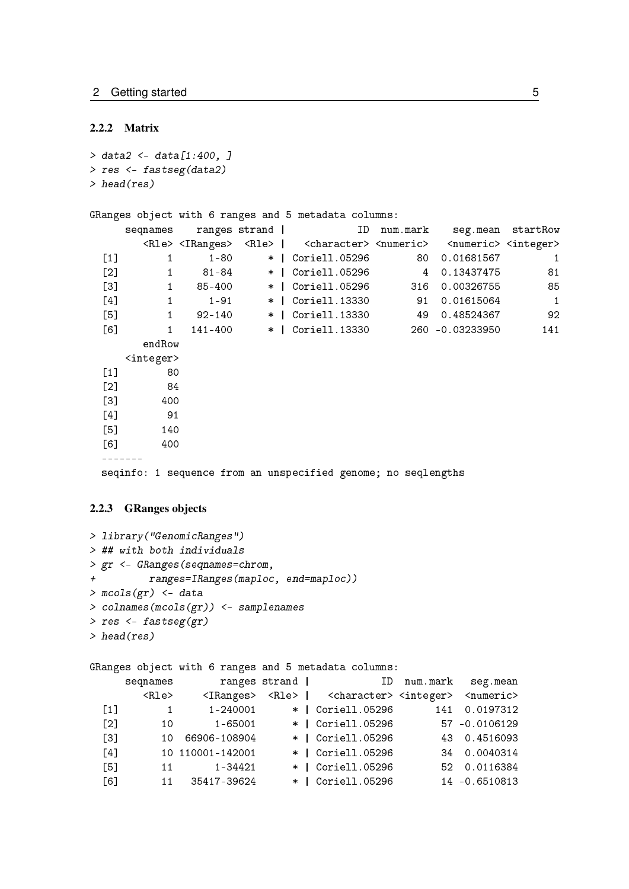#### <span id="page-4-0"></span>2.2.2 Matrix

```
> data2 <- data[1:400, ]
> res <- fastseg(data2)
> head(res)
```

```
GRanges object with 6 ranges and 5 metadata columns:
```

|                  | seqnames            |          | ranges strand | ID                                                                                        | num.mark |                                         | seg.mean startRow |
|------------------|---------------------|----------|---------------|-------------------------------------------------------------------------------------------|----------|-----------------------------------------|-------------------|
|                  |                     |          |               | <rle> <iranges> <rle>   <character> <numeric></numeric></character></rle></iranges></rle> |          | <numeric> <integer></integer></numeric> |                   |
| $[1]$            |                     | 1-80     |               | *   Coriell.05296                                                                         | 80 -     | 0.01681567                              | 1                 |
| [2]              | 1                   | 81-84    |               | *   Coriell.05296                                                                         | 4        | 0.13437475                              | 81                |
| $[3]$            | $\mathbf{1}$        | 85-400   | $*$           | Coriell.05296                                                                             | 316      | 0.00326755                              | 85                |
| [4]              | $\mathbf{1}$        | $1 - 91$ |               | *   Coriell.13330                                                                         | 91       | 0.01615064                              | $\mathbf{1}$      |
| $[5]$            | $\mathbf{1}$        | 92-140   |               | *   Coriell.13330                                                                         | 49       | 0.48524367                              | 92                |
| [6]              | $\mathbf{1}$        | 141–400  |               |                                                                                           |          |                                         | 141               |
|                  | endRow              |          |               |                                                                                           |          |                                         |                   |
|                  | <integer></integer> |          |               |                                                                                           |          |                                         |                   |
| $[1]$            | 80                  |          |               |                                                                                           |          |                                         |                   |
| $[2]$            | 84                  |          |               |                                                                                           |          |                                         |                   |
| $\left[3\right]$ | 400                 |          |               |                                                                                           |          |                                         |                   |
| [4]              | 91                  |          |               |                                                                                           |          |                                         |                   |
| [5]              | 140                 |          |               |                                                                                           |          |                                         |                   |
| [6]              | 400                 |          |               |                                                                                           |          |                                         |                   |
|                  |                     |          |               |                                                                                           |          |                                         |                   |
|                  |                     |          |               | seqinfo: 1 sequence from an unspecified genome; no seqlengths                             |          |                                         |                   |

#### <span id="page-4-1"></span>2.2.3 GRanges objects

```
> library("GenomicRanges")
> ## with both individuals
> gr <- GRanges(seqnames=chrom,
+ ranges=IRanges(maploc, end=maploc))
> mcols(gr) <- data
> colnames(mcols(gr)) <- samplenames
> res <- fastseg(gr)
> head(res)
```
GRanges object with 6 ranges and 5 metadata columns:

|                   | seqnames    |                     | ranges strand | in the state of the state of the state of the state of the state of the state of the state of the state of the | num.mark | seg.mean                    |
|-------------------|-------------|---------------------|---------------|----------------------------------------------------------------------------------------------------------------|----------|-----------------------------|
|                   | $<$ Rle $>$ | $<$ I $R$ anges $>$ |               | <rle>   <character> <integer></integer></character></rle>                                                      |          | $\langle$ numeric $\rangle$ |
| $\lceil 1 \rceil$ | -1          | 1-240001            |               | *   Coriell.05296                                                                                              | 141      | 0.0197312                   |
| $\lceil 2 \rceil$ | 10          | 1-65001             |               | *   Coriell.05296                                                                                              |          | 57 -0.0106129               |
| $\lceil 3 \rceil$ | 10.         | 66906-108904        |               | *   Coriell.05296                                                                                              |          | 43 0.4516093                |
| $\lceil 4 \rceil$ |             | 10 110001-142001    |               | *   Coriell.05296                                                                                              |          | 34 0.0040314                |
| $[5]$             | 11          | 1-34421             |               | *   Coriell.05296                                                                                              |          | 52 0.0116384                |
| $\lceil 6 \rceil$ | 11          | 35417-39624         |               | *   Coriell.05296                                                                                              |          | 14 -0.6510813               |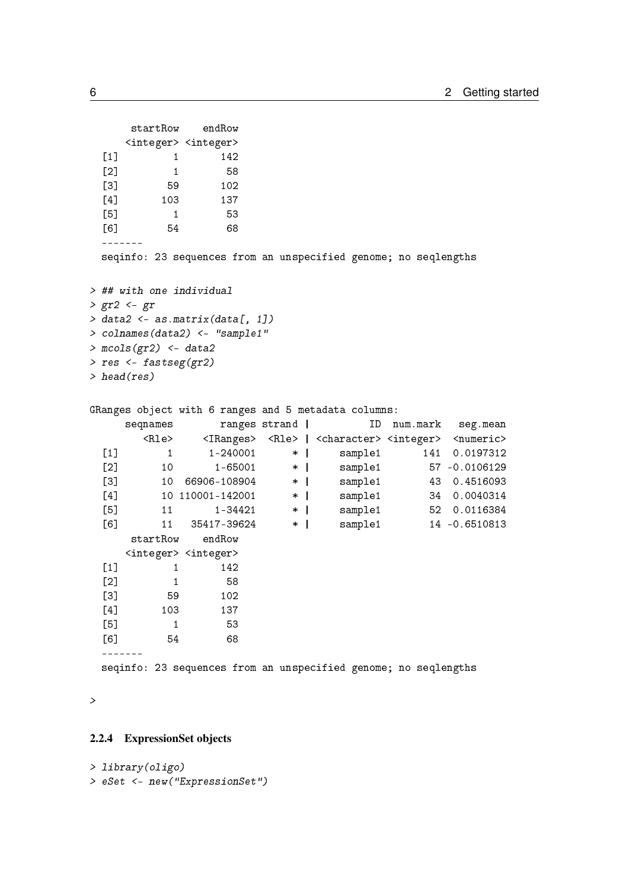```
startRow endRow
     <integer> <integer>
 \begin{bmatrix} 1 \end{bmatrix} 1 142
 [2] 1 58
 [3] 59 102
 [4] 103 137
 [5] 1 53
  [6] 54 68
 -------
 seqinfo: 23 sequences from an unspecified genome; no seqlengths
> ## with one individual
> gr2 <- gr
> data2 <- as.matrix(data[, 1])
> colnames(data2) <- "sample1"
> mcols(gr2) <- data2
> res <- fastseg(gr2)
> head(res)
GRanges object with 6 ranges and 5 metadata columns:
     seqnames ranges strand | ID num.mark seg.mean
       <Rle> <IRanges> <Rle> | <character> <integer> <numeric>
 [1] 1 1-240001 * | sample1 141 0.0197312
 [2] 10 1-65001 * | sample1 57 -0.0106129
 [3] 10 66906-108904 * | sample1 43 0.4516093
 10 110001-142001 * | sample1 34 0.0040314<br>
[5] 11 1-34421 * | sample1 52 0.0116384<br>
[6] 11 35417-39624 * | sample1 14 -0.6510813
 [5] 11 1-34421 * | sample1 52 0.0116384
 [6] 11 35417-39624 * | sample1 14 -0.6510813
     startRow endRow
     <integer> <integer>
 [1] 1 142
 [2] 1 58
 [3] 59 102
 [4] 103 137
 [5] 1 53
 [6] 54 68
 -------
 seqinfo: 23 sequences from an unspecified genome; no seqlengths
```
>

#### <span id="page-5-0"></span>2.2.4 ExpressionSet objects

```
> library(oligo)
> eSet <- new("ExpressionSet")
```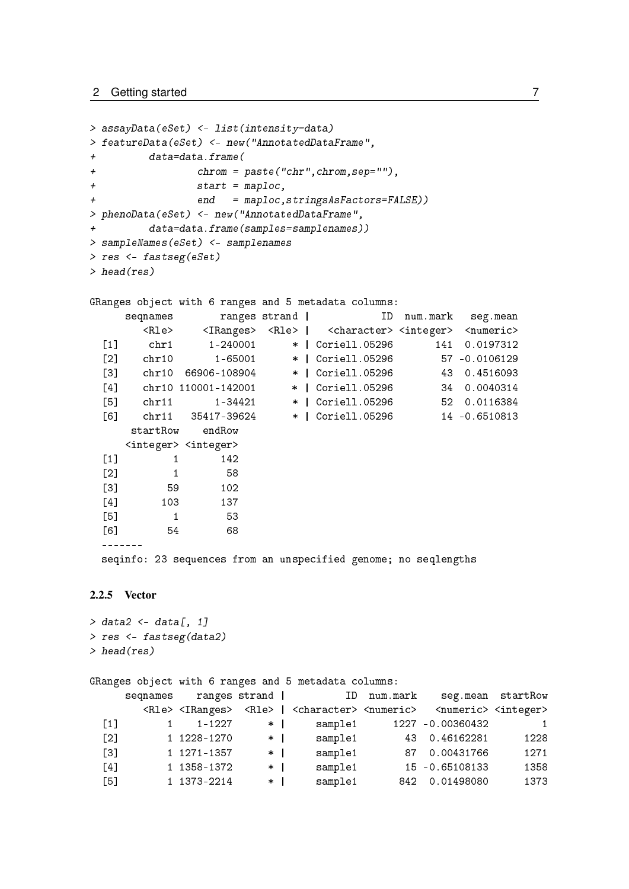```
> assayData(eSet) <- list(intensity=data)
> featureData(eSet) <- new("AnnotatedDataFrame",
+ data=data.frame(
+ chrom = paste("chr",chrom,sep=""),
+ start = maploc,
+ end = maploc,stringsAsFactors=FALSE))
> phenoData(eSet) <- new("AnnotatedDataFrame",
+ data=data.frame(samples=samplenames))
> sampleNames(eSet) <- samplenames
> res <- fastseg(eSet)
> head(res)
GRanges object with 6 ranges and 5 metadata columns:
    seqnames ranges strand | ID num.mark seg.mean
       <Rle> <IRanges> <Rle> | <character> <integer> <numeric>
 [1] chr1 1-240001 * | Coriell.05296 141 0.0197312
 [2] chr10 1-65001 * | Coriell.05296 57 -0.0106129
 [3] chr10 66906-108904 * | Coriell.05296 43 0.4516093
 [4] chr10 110001-142001 * | Coriell.05296 34 0.0040314
 [5] chr11 1-34421 * | Coriell.05296 52 0.0116384
 [6] chr11 35417-39624 * | Coriell.05296 14 -0.6510813
     startRow endRow
    <integer> <integer>
 [1] 1 142
 [2] 1 58
 [3] 59 102
 [4] 103 137
 [5] 1 53
 [6] 54 68
 -------
 seqinfo: 23 sequences from an unspecified genome; no seqlengths
```
#### <span id="page-6-0"></span>2.2.5 Vector

```
> data2 <- data[, 1]
> res <- fastseg(data2)
> head(res)
```
GRanges object with 6 ranges and 5 metadata columns:

|       | segnames |                                 | ranges strand |              |                                                           | ID num.mark |                                         | seg.mean startRow |
|-------|----------|---------------------------------|---------------|--------------|-----------------------------------------------------------|-------------|-----------------------------------------|-------------------|
|       |          | <rle> <iranges></iranges></rle> |               |              | <rle>   <character> <numeric></numeric></character></rle> |             | <numeric> <integer></integer></numeric> |                   |
| $[1]$ |          | 1-1227                          | $\ast$        |              | sample1                                                   |             | 1227 -0.00360432                        | -1                |
| [2]   |          | 1 1228-1270                     | $\star$       |              | sample1                                                   |             | 43 0.46162281                           | 1228              |
| $[3]$ |          | 1 1271-1357                     | $\ast$        |              | sample1                                                   |             | 87 0.00431766                           | 1271              |
| [4]   |          | 1 1358-1372                     | $\ast$        |              | sample1                                                   |             | 15 -0.65108133                          | 1358              |
| [5]   |          | 1 1373-2214                     | $\ast$        | $\mathbf{I}$ | sample1                                                   |             | 842 0.01498080                          | 1373              |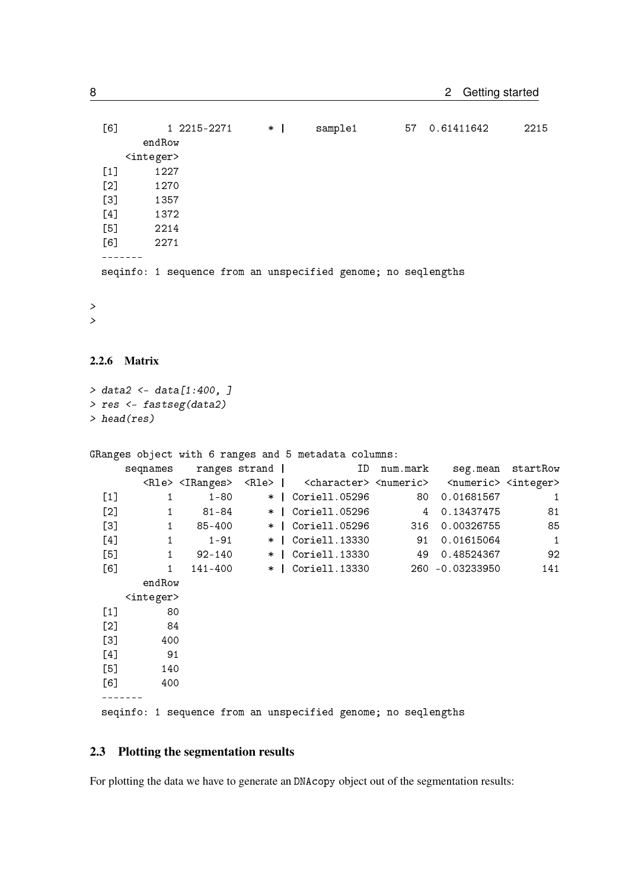| [6]   | 1 2215-2271                                                   | $*-1$ | sample1 | 57 | 0.61411642 | 2215 |
|-------|---------------------------------------------------------------|-------|---------|----|------------|------|
|       | endRow                                                        |       |         |    |            |      |
|       | <integer></integer>                                           |       |         |    |            |      |
| $[1]$ | 1227                                                          |       |         |    |            |      |
| $[2]$ | 1270                                                          |       |         |    |            |      |
| $[3]$ | 1357                                                          |       |         |    |            |      |
| [4]   | 1372                                                          |       |         |    |            |      |
| $[5]$ | 2214                                                          |       |         |    |            |      |
| [6]   | 2271                                                          |       |         |    |            |      |
|       |                                                               |       |         |    |            |      |
|       | seqinfo: 1 sequence from an unspecified genome; no seqlengths |       |         |    |            |      |

>

 $\rightarrow$ 

#### <span id="page-7-0"></span>2.2.6 Matrix

```
> data2 <- data[1:400, ]
> res <- fastseg(data2)
> head(res)
```
GRanges object with 6 ranges and 5 metadata columns:

|       | seqnames            |          | ranges strand | ID                                                                                        | num.mark |     |                                         | seg.mean startRow |
|-------|---------------------|----------|---------------|-------------------------------------------------------------------------------------------|----------|-----|-----------------------------------------|-------------------|
|       |                     |          |               | <rle> <iranges> <rle>   <character> <numeric></numeric></character></rle></iranges></rle> |          |     | <numeric> <integer></integer></numeric> |                   |
| $[1]$ | 1                   | $1 - 80$ |               | *   Coriell.05296                                                                         |          | 80  | 0.01681567                              | 1                 |
| [2]   | 1                   | 81-84    | $*$           | Coriell.05296                                                                             |          | 4   | 0.13437475                              | 81                |
| [3]   | $\mathbf{1}$        | 85-400   | $\ast$        | Coriell.05296                                                                             |          | 316 | 0.00326755                              | 85                |
| [4]   | 1                   | $1 - 91$ | $\ast$        | Coriell.13330                                                                             |          | 91  | 0.01615064                              | $\mathbf 1$       |
| [5]   | $\mathbf{1}$        | 92-140   | $\ast$        | Coriell.13330                                                                             |          | 49  | 0.48524367                              | 92                |
| [6]   | $\mathbf{1}$        | 141–400  |               | *   Coriell.13330                                                                         |          |     | 260 -0.03233950                         | 141               |
|       | endRow              |          |               |                                                                                           |          |     |                                         |                   |
|       | <integer></integer> |          |               |                                                                                           |          |     |                                         |                   |
| $[1]$ | 80                  |          |               |                                                                                           |          |     |                                         |                   |
| $[2]$ | 84                  |          |               |                                                                                           |          |     |                                         |                   |
| [3]   | 400                 |          |               |                                                                                           |          |     |                                         |                   |
| [4]   | 91                  |          |               |                                                                                           |          |     |                                         |                   |
| [5]   | 140                 |          |               |                                                                                           |          |     |                                         |                   |
| [6]   | 400                 |          |               |                                                                                           |          |     |                                         |                   |
|       |                     |          |               |                                                                                           |          |     |                                         |                   |
|       |                     |          |               | seqinfo: 1 sequence from an unspecified genome; no seqlengths                             |          |     |                                         |                   |

## <span id="page-7-1"></span>2.3 Plotting the segmentation results

For plotting the data we have to generate an DNAcopy object out of the segmentation results: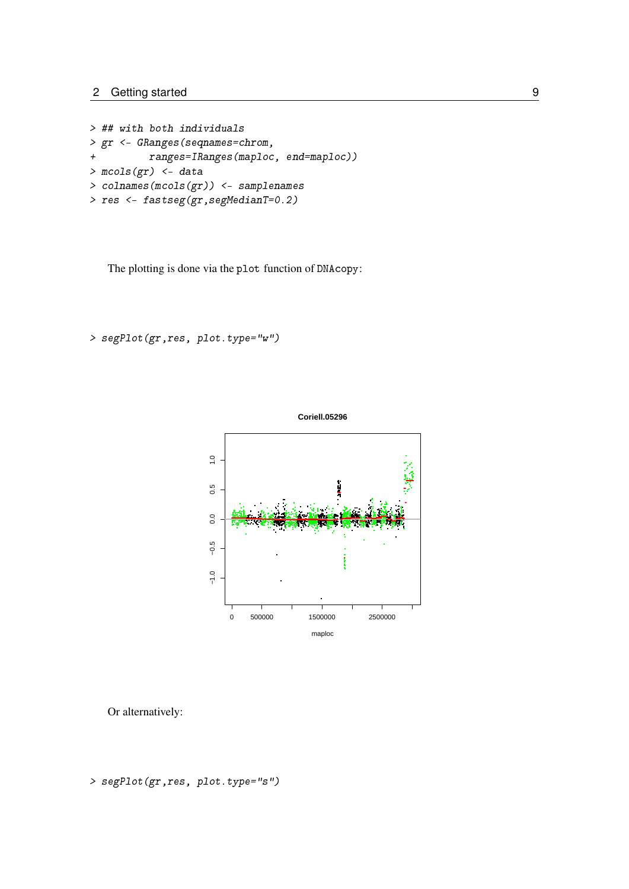```
> ## with both individuals
> gr <- GRanges(seqnames=chrom,
+ ranges=IRanges(maploc, end=maploc))
> mcols(gr) <- data
> colnames(mcols(gr)) <- samplenames
> res <- fastseg(gr,segMedianT=0.2)
```
The plotting is done via the plot function of DNAcopy:

> segPlot(gr,res, plot.type="w")



Or alternatively:

```
> segPlot(gr,res, plot.type="s")
```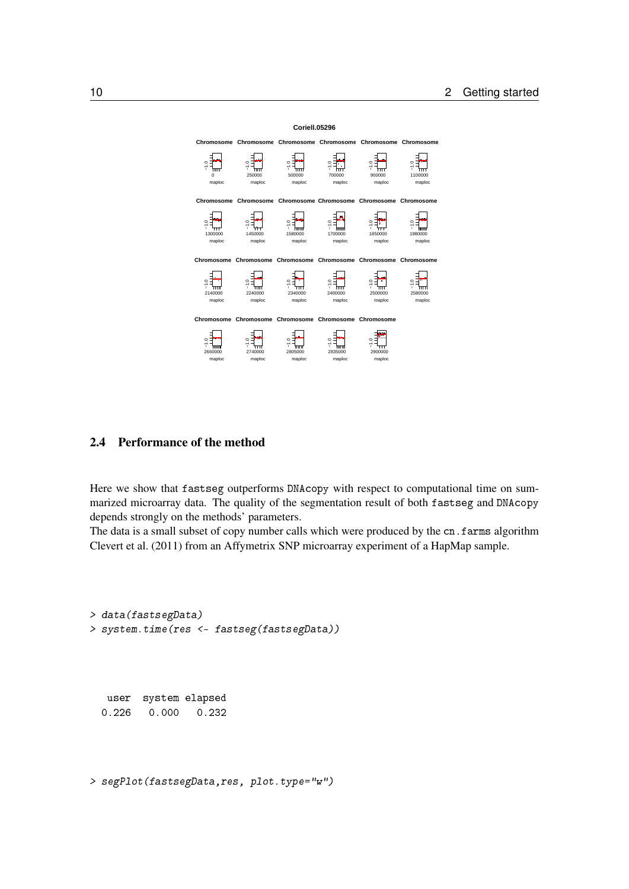

#### <span id="page-9-0"></span>2.4 Performance of the method

Here we show that fastseg outperforms DNAcopy with respect to computational time on summarized microarray data. The quality of the segmentation result of both fastseg and DNAcopy depends strongly on the methods' parameters.

The data is a small subset of copy number calls which were produced by the cn.farms algorithm [Clevert et al.](#page-11-5) [\(2011\)](#page-11-5) from an Affymetrix SNP microarray experiment of a HapMap sample.

```
> data(fastsegData)
> system.time(res <- fastseg(fastsegData))
```
user system elapsed 0.226 0.000 0.232

> segPlot(fastsegData,res, plot.type="w")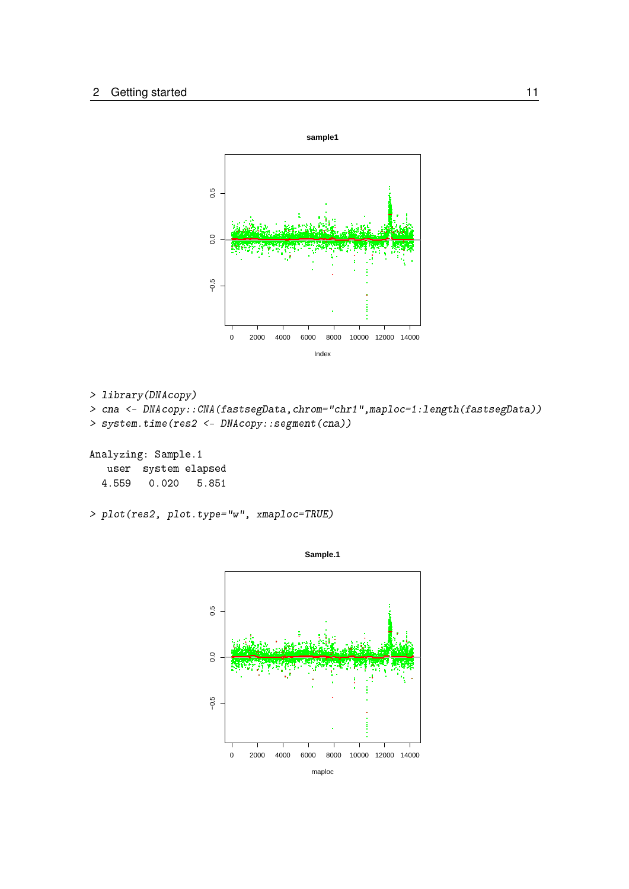

> library(DNAcopy) > cna <- DNAcopy::CNA(fastsegData,chrom="chr1",maploc=1:length(fastsegData)) > system.time(res2 <- DNAcopy::segment(cna)) Analyzing: Sample.1 user system elapsed

```
4.559 0.020 5.851
```

```
> plot(res2, plot.type="w", xmaploc=TRUE)
```